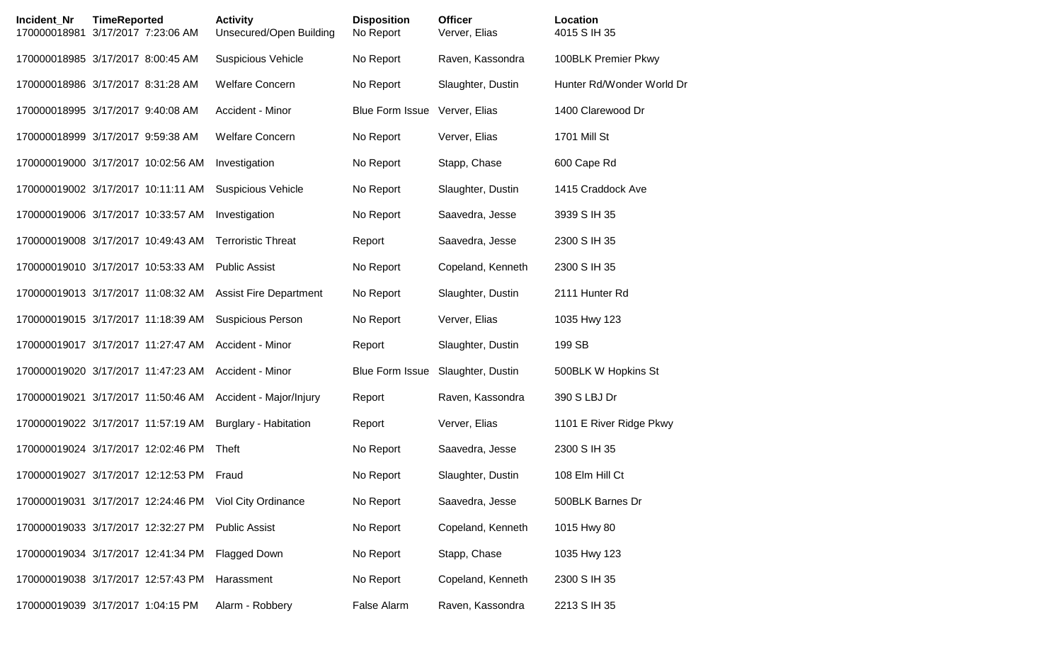| <b>Incident Nr</b><br>170000018981 | <b>TimeReported</b><br>3/17/2017 7:23:06 AM | <b>Activity</b><br>Unsecured/Open Building | <b>Disposition</b><br>No Report | <b>Officer</b><br>Verver, Elias | Location<br>4015 S IH 35  |
|------------------------------------|---------------------------------------------|--------------------------------------------|---------------------------------|---------------------------------|---------------------------|
|                                    | 170000018985 3/17/2017 8:00:45 AM           | <b>Suspicious Vehicle</b>                  | No Report                       | Raven, Kassondra                | 100BLK Premier Pkwy       |
|                                    | 170000018986 3/17/2017 8:31:28 AM           | <b>Welfare Concern</b>                     | No Report                       | Slaughter, Dustin               | Hunter Rd/Wonder World Dr |
|                                    | 170000018995 3/17/2017 9:40:08 AM           | Accident - Minor                           | <b>Blue Form Issue</b>          | Verver, Elias                   | 1400 Clarewood Dr         |
|                                    | 170000018999 3/17/2017 9:59:38 AM           | <b>Welfare Concern</b>                     | No Report                       | Verver, Elias                   | 1701 Mill St              |
|                                    | 170000019000 3/17/2017 10:02:56 AM          | Investigation                              | No Report                       | Stapp, Chase                    | 600 Cape Rd               |
|                                    | 170000019002 3/17/2017 10:11:11 AM          | <b>Suspicious Vehicle</b>                  | No Report                       | Slaughter, Dustin               | 1415 Craddock Ave         |
|                                    | 170000019006 3/17/2017 10:33:57 AM          | Investigation                              | No Report                       | Saavedra, Jesse                 | 3939 S IH 35              |
|                                    | 170000019008 3/17/2017 10:49:43 AM          | <b>Terroristic Threat</b>                  | Report                          | Saavedra, Jesse                 | 2300 S IH 35              |
|                                    | 170000019010 3/17/2017 10:53:33 AM          | <b>Public Assist</b>                       | No Report                       | Copeland, Kenneth               | 2300 S IH 35              |
|                                    | 170000019013 3/17/2017 11:08:32 AM          | <b>Assist Fire Department</b>              | No Report                       | Slaughter, Dustin               | 2111 Hunter Rd            |
|                                    | 170000019015 3/17/2017 11:18:39 AM          | <b>Suspicious Person</b>                   | No Report                       | Verver, Elias                   | 1035 Hwy 123              |
|                                    | 170000019017 3/17/2017 11:27:47 AM          | Accident - Minor                           | Report                          | Slaughter, Dustin               | 199 SB                    |
|                                    | 170000019020 3/17/2017 11:47:23 AM          | Accident - Minor                           | <b>Blue Form Issue</b>          | Slaughter, Dustin               | 500BLK W Hopkins St       |
|                                    | 170000019021 3/17/2017 11:50:46 AM          | Accident - Major/Injury                    | Report                          | Raven, Kassondra                | 390 S LBJ Dr              |
|                                    | 170000019022 3/17/2017 11:57:19 AM          | <b>Burglary - Habitation</b>               | Report                          | Verver, Elias                   | 1101 E River Ridge Pkwy   |
|                                    | 170000019024 3/17/2017 12:02:46 PM          | Theft                                      | No Report                       | Saavedra, Jesse                 | 2300 S IH 35              |
|                                    | 170000019027 3/17/2017 12:12:53 PM          | Fraud                                      | No Report                       | Slaughter, Dustin               | 108 Elm Hill Ct           |
|                                    | 170000019031 3/17/2017 12:24:46 PM          | Viol City Ordinance                        | No Report                       | Saavedra, Jesse                 | 500BLK Barnes Dr          |
|                                    | 170000019033 3/17/2017 12:32:27 PM          | <b>Public Assist</b>                       | No Report                       | Copeland, Kenneth               | 1015 Hwy 80               |
|                                    | 170000019034 3/17/2017 12:41:34 PM          | <b>Flagged Down</b>                        | No Report                       | Stapp, Chase                    | 1035 Hwy 123              |
|                                    | 170000019038 3/17/2017 12:57:43 PM          | Harassment                                 | No Report                       | Copeland, Kenneth               | 2300 S IH 35              |
|                                    | 170000019039 3/17/2017 1:04:15 PM           | Alarm - Robbery                            | False Alarm                     | Raven, Kassondra                | 2213 S IH 35              |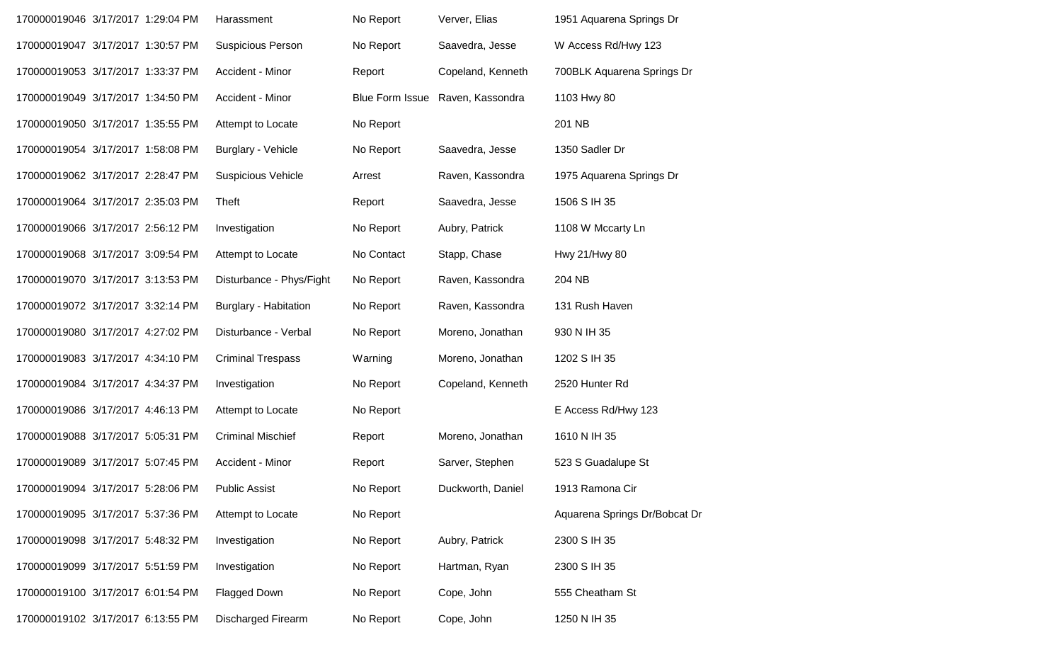| 170000019046 3/17/2017 1:29:04 PM |  | Harassment                   | No Report              | Verver, Elias     | 1951 Aquarena Springs Dr      |
|-----------------------------------|--|------------------------------|------------------------|-------------------|-------------------------------|
| 170000019047 3/17/2017 1:30:57 PM |  | <b>Suspicious Person</b>     | No Report              | Saavedra, Jesse   | W Access Rd/Hwy 123           |
| 170000019053 3/17/2017 1:33:37 PM |  | Accident - Minor             | Report                 | Copeland, Kenneth | 700BLK Aquarena Springs Dr    |
| 170000019049 3/17/2017 1:34:50 PM |  | Accident - Minor             | <b>Blue Form Issue</b> | Raven, Kassondra  | 1103 Hwy 80                   |
| 170000019050 3/17/2017 1:35:55 PM |  | Attempt to Locate            | No Report              |                   | 201 NB                        |
| 170000019054 3/17/2017 1:58:08 PM |  | Burglary - Vehicle           | No Report              | Saavedra, Jesse   | 1350 Sadler Dr                |
| 170000019062 3/17/2017 2:28:47 PM |  | <b>Suspicious Vehicle</b>    | Arrest                 | Raven, Kassondra  | 1975 Aquarena Springs Dr      |
| 170000019064 3/17/2017 2:35:03 PM |  | Theft                        | Report                 | Saavedra, Jesse   | 1506 S IH 35                  |
| 170000019066 3/17/2017 2:56:12 PM |  | Investigation                | No Report              | Aubry, Patrick    | 1108 W Mccarty Ln             |
| 170000019068 3/17/2017 3:09:54 PM |  | Attempt to Locate            | No Contact             | Stapp, Chase      | Hwy 21/Hwy 80                 |
| 170000019070 3/17/2017 3:13:53 PM |  | Disturbance - Phys/Fight     | No Report              | Raven, Kassondra  | 204 NB                        |
| 170000019072 3/17/2017 3:32:14 PM |  | <b>Burglary - Habitation</b> | No Report              | Raven, Kassondra  | 131 Rush Haven                |
| 170000019080 3/17/2017 4:27:02 PM |  | Disturbance - Verbal         | No Report              | Moreno, Jonathan  | 930 N IH 35                   |
| 170000019083 3/17/2017 4:34:10 PM |  | <b>Criminal Trespass</b>     | Warning                | Moreno, Jonathan  | 1202 S IH 35                  |
| 170000019084 3/17/2017 4:34:37 PM |  | Investigation                | No Report              | Copeland, Kenneth | 2520 Hunter Rd                |
| 170000019086 3/17/2017 4:46:13 PM |  | Attempt to Locate            | No Report              |                   | E Access Rd/Hwy 123           |
| 170000019088 3/17/2017 5:05:31 PM |  | <b>Criminal Mischief</b>     | Report                 | Moreno, Jonathan  | 1610 N IH 35                  |
| 170000019089 3/17/2017 5:07:45 PM |  | Accident - Minor             | Report                 | Sarver, Stephen   | 523 S Guadalupe St            |
| 170000019094 3/17/2017 5:28:06 PM |  | <b>Public Assist</b>         | No Report              | Duckworth, Daniel | 1913 Ramona Cir               |
| 170000019095 3/17/2017 5:37:36 PM |  | Attempt to Locate            | No Report              |                   | Aquarena Springs Dr/Bobcat Dr |
| 170000019098 3/17/2017 5:48:32 PM |  | Investigation                | No Report              | Aubry, Patrick    | 2300 S IH 35                  |
| 170000019099 3/17/2017 5:51:59 PM |  | Investigation                | No Report              | Hartman, Ryan     | 2300 S IH 35                  |
| 170000019100 3/17/2017 6:01:54 PM |  | Flagged Down                 | No Report              | Cope, John        | 555 Cheatham St               |
| 170000019102 3/17/2017 6:13:55 PM |  | Discharged Firearm           | No Report              | Cope, John        | 1250 N IH 35                  |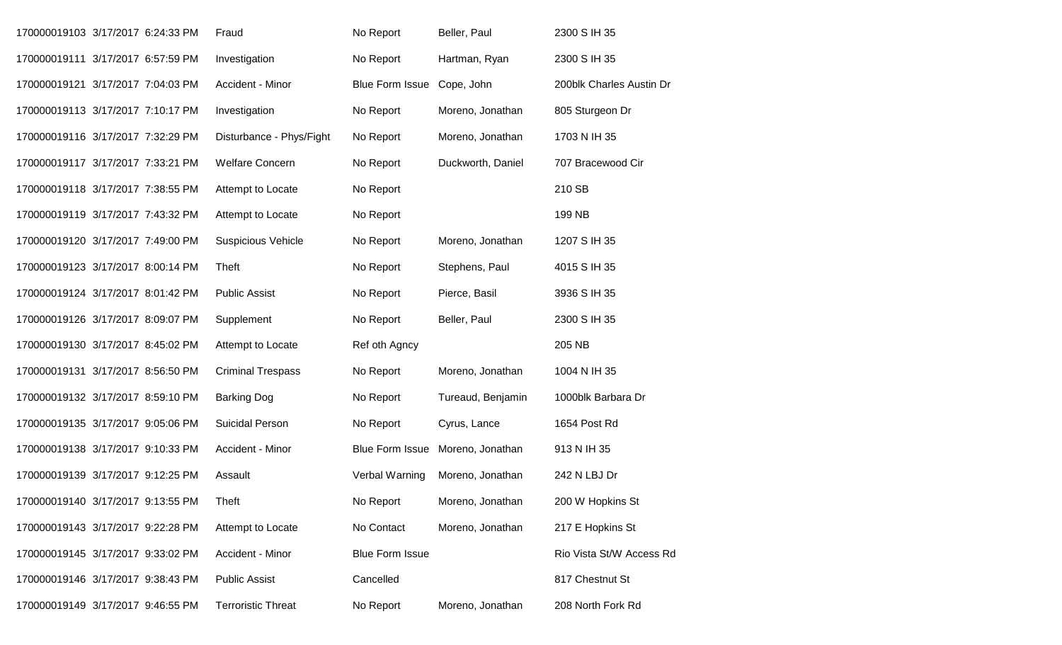| 170000019103 3/17/2017 6:24:33 PM |  | Fraud                     | No Report                  | Beller, Paul                     | 2300 S IH 35             |
|-----------------------------------|--|---------------------------|----------------------------|----------------------------------|--------------------------|
| 170000019111 3/17/2017 6:57:59 PM |  | Investigation             | No Report                  | Hartman, Ryan                    | 2300 S IH 35             |
| 170000019121 3/17/2017 7:04:03 PM |  | Accident - Minor          | Blue Form Issue Cope, John |                                  | 200blk Charles Austin Dr |
| 170000019113 3/17/2017 7:10:17 PM |  | Investigation             | No Report                  | Moreno, Jonathan                 | 805 Sturgeon Dr          |
| 170000019116 3/17/2017 7:32:29 PM |  | Disturbance - Phys/Fight  | No Report                  | Moreno, Jonathan                 | 1703 N IH 35             |
| 170000019117 3/17/2017 7:33:21 PM |  | <b>Welfare Concern</b>    | No Report                  | Duckworth, Daniel                | 707 Bracewood Cir        |
| 170000019118 3/17/2017 7:38:55 PM |  | Attempt to Locate         | No Report                  |                                  | 210 SB                   |
| 170000019119 3/17/2017 7:43:32 PM |  | Attempt to Locate         | No Report                  |                                  | 199 NB                   |
| 170000019120 3/17/2017 7:49:00 PM |  | <b>Suspicious Vehicle</b> | No Report                  | Moreno, Jonathan                 | 1207 S IH 35             |
| 170000019123 3/17/2017 8:00:14 PM |  | Theft                     | No Report                  | Stephens, Paul                   | 4015 S IH 35             |
| 170000019124 3/17/2017 8:01:42 PM |  | <b>Public Assist</b>      | No Report                  | Pierce, Basil                    | 3936 S IH 35             |
| 170000019126 3/17/2017 8:09:07 PM |  | Supplement                | No Report                  | Beller, Paul                     | 2300 S IH 35             |
| 170000019130 3/17/2017 8:45:02 PM |  | Attempt to Locate         | Ref oth Agncy              |                                  | 205 NB                   |
| 170000019131 3/17/2017 8:56:50 PM |  | <b>Criminal Trespass</b>  | No Report                  | Moreno, Jonathan                 | 1004 N IH 35             |
| 170000019132 3/17/2017 8:59:10 PM |  | <b>Barking Dog</b>        | No Report                  | Tureaud, Benjamin                | 1000blk Barbara Dr       |
| 170000019135 3/17/2017 9:05:06 PM |  | Suicidal Person           | No Report                  | Cyrus, Lance                     | 1654 Post Rd             |
| 170000019138 3/17/2017 9:10:33 PM |  | Accident - Minor          |                            | Blue Form Issue Moreno, Jonathan | 913 N IH 35              |
| 170000019139 3/17/2017 9:12:25 PM |  | Assault                   | Verbal Warning             | Moreno, Jonathan                 | 242 N LBJ Dr             |
| 170000019140 3/17/2017 9:13:55 PM |  | <b>Theft</b>              | No Report                  | Moreno, Jonathan                 | 200 W Hopkins St         |
| 170000019143 3/17/2017 9:22:28 PM |  | Attempt to Locate         | No Contact                 | Moreno, Jonathan                 | 217 E Hopkins St         |
| 170000019145 3/17/2017 9:33:02 PM |  | Accident - Minor          | <b>Blue Form Issue</b>     |                                  | Rio Vista St/W Access Rd |
| 170000019146 3/17/2017 9:38:43 PM |  | <b>Public Assist</b>      | Cancelled                  |                                  | 817 Chestnut St          |
| 170000019149 3/17/2017 9:46:55 PM |  | <b>Terroristic Threat</b> | No Report                  | Moreno, Jonathan                 | 208 North Fork Rd        |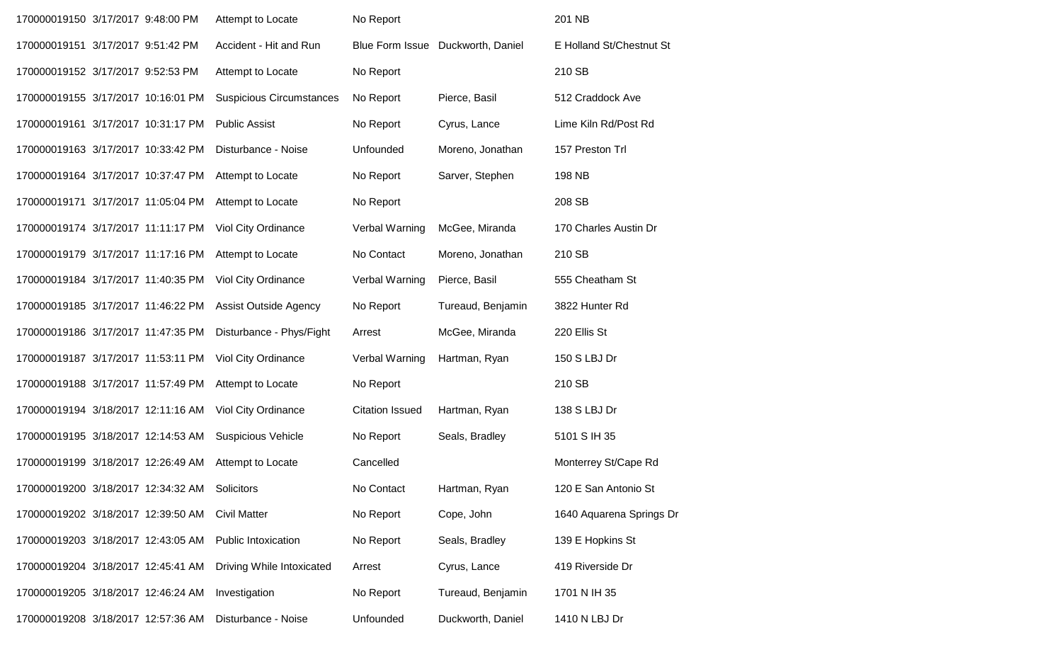| 170000019150 3/17/2017 9:48:00 PM  |  | Attempt to Locate               | No Report              |                                   | 201 NB                   |
|------------------------------------|--|---------------------------------|------------------------|-----------------------------------|--------------------------|
| 170000019151 3/17/2017 9:51:42 PM  |  | Accident - Hit and Run          |                        | Blue Form Issue Duckworth, Daniel | E Holland St/Chestnut St |
| 170000019152 3/17/2017 9:52:53 PM  |  | Attempt to Locate               | No Report              |                                   | 210 SB                   |
| 170000019155 3/17/2017 10:16:01 PM |  | <b>Suspicious Circumstances</b> | No Report              | Pierce, Basil                     | 512 Craddock Ave         |
| 170000019161 3/17/2017 10:31:17 PM |  | <b>Public Assist</b>            | No Report              | Cyrus, Lance                      | Lime Kiln Rd/Post Rd     |
| 170000019163 3/17/2017 10:33:42 PM |  | Disturbance - Noise             | Unfounded              | Moreno, Jonathan                  | 157 Preston Trl          |
| 170000019164 3/17/2017 10:37:47 PM |  | Attempt to Locate               | No Report              | Sarver, Stephen                   | 198 NB                   |
| 170000019171 3/17/2017 11:05:04 PM |  | Attempt to Locate               | No Report              |                                   | 208 SB                   |
| 170000019174 3/17/2017 11:11:17 PM |  | Viol City Ordinance             | Verbal Warning         | McGee, Miranda                    | 170 Charles Austin Dr    |
| 170000019179 3/17/2017 11:17:16 PM |  | Attempt to Locate               | No Contact             | Moreno, Jonathan                  | 210 SB                   |
| 170000019184 3/17/2017 11:40:35 PM |  | <b>Viol City Ordinance</b>      | Verbal Warning         | Pierce, Basil                     | 555 Cheatham St          |
| 170000019185 3/17/2017 11:46:22 PM |  | <b>Assist Outside Agency</b>    | No Report              | Tureaud, Benjamin                 | 3822 Hunter Rd           |
| 170000019186 3/17/2017 11:47:35 PM |  | Disturbance - Phys/Fight        | Arrest                 | McGee, Miranda                    | 220 Ellis St             |
| 170000019187 3/17/2017 11:53:11 PM |  | Viol City Ordinance             | Verbal Warning         | Hartman, Ryan                     | 150 S LBJ Dr             |
| 170000019188 3/17/2017 11:57:49 PM |  | Attempt to Locate               | No Report              |                                   | 210 SB                   |
| 170000019194 3/18/2017 12:11:16 AM |  | Viol City Ordinance             | <b>Citation Issued</b> | Hartman, Ryan                     | 138 S LBJ Dr             |
| 170000019195 3/18/2017 12:14:53 AM |  | <b>Suspicious Vehicle</b>       | No Report              | Seals, Bradley                    | 5101 S IH 35             |
| 170000019199 3/18/2017 12:26:49 AM |  | Attempt to Locate               | Cancelled              |                                   | Monterrey St/Cape Rd     |
| 170000019200 3/18/2017 12:34:32 AM |  | Solicitors                      | No Contact             | Hartman, Ryan                     | 120 E San Antonio St     |
| 170000019202 3/18/2017 12:39:50 AM |  | <b>Civil Matter</b>             | No Report              | Cope, John                        | 1640 Aquarena Springs Dr |
| 170000019203 3/18/2017 12:43:05 AM |  | <b>Public Intoxication</b>      | No Report              | Seals, Bradley                    | 139 E Hopkins St         |
| 170000019204 3/18/2017 12:45:41 AM |  | Driving While Intoxicated       | Arrest                 | Cyrus, Lance                      | 419 Riverside Dr         |
| 170000019205 3/18/2017 12:46:24 AM |  | Investigation                   | No Report              | Tureaud, Benjamin                 | 1701 N IH 35             |
| 170000019208 3/18/2017 12:57:36 AM |  | Disturbance - Noise             | Unfounded              | Duckworth, Daniel                 | 1410 N LBJ Dr            |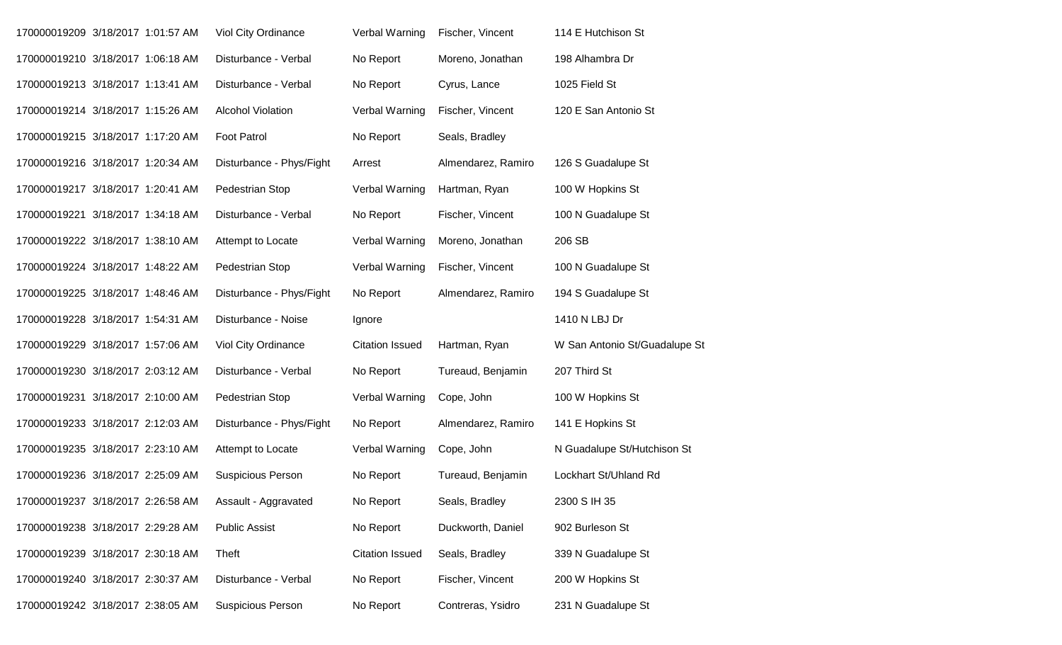| 170000019209 3/18/2017 1:01:57 AM |  | Viol City Ordinance      | Verbal Warning         | Fischer, Vincent   | 114 E Hutchison St            |
|-----------------------------------|--|--------------------------|------------------------|--------------------|-------------------------------|
| 170000019210 3/18/2017 1:06:18 AM |  | Disturbance - Verbal     | No Report              | Moreno, Jonathan   | 198 Alhambra Dr               |
| 170000019213 3/18/2017 1:13:41 AM |  | Disturbance - Verbal     | No Report              | Cyrus, Lance       | 1025 Field St                 |
| 170000019214 3/18/2017 1:15:26 AM |  | <b>Alcohol Violation</b> | Verbal Warning         | Fischer, Vincent   | 120 E San Antonio St          |
| 170000019215 3/18/2017 1:17:20 AM |  | <b>Foot Patrol</b>       | No Report              | Seals, Bradley     |                               |
| 170000019216 3/18/2017 1:20:34 AM |  | Disturbance - Phys/Fight | Arrest                 | Almendarez, Ramiro | 126 S Guadalupe St            |
| 170000019217 3/18/2017 1:20:41 AM |  | Pedestrian Stop          | Verbal Warning         | Hartman, Ryan      | 100 W Hopkins St              |
| 170000019221 3/18/2017 1:34:18 AM |  | Disturbance - Verbal     | No Report              | Fischer, Vincent   | 100 N Guadalupe St            |
| 170000019222 3/18/2017 1:38:10 AM |  | Attempt to Locate        | Verbal Warning         | Moreno, Jonathan   | 206 SB                        |
| 170000019224 3/18/2017 1:48:22 AM |  | Pedestrian Stop          | Verbal Warning         | Fischer, Vincent   | 100 N Guadalupe St            |
| 170000019225 3/18/2017 1:48:46 AM |  | Disturbance - Phys/Fight | No Report              | Almendarez, Ramiro | 194 S Guadalupe St            |
| 170000019228 3/18/2017 1:54:31 AM |  | Disturbance - Noise      | Ignore                 |                    | 1410 N LBJ Dr                 |
| 170000019229 3/18/2017 1:57:06 AM |  | Viol City Ordinance      | <b>Citation Issued</b> | Hartman, Ryan      | W San Antonio St/Guadalupe St |
| 170000019230 3/18/2017 2:03:12 AM |  | Disturbance - Verbal     | No Report              | Tureaud, Benjamin  | 207 Third St                  |
| 170000019231 3/18/2017 2:10:00 AM |  | Pedestrian Stop          | Verbal Warning         | Cope, John         | 100 W Hopkins St              |
| 170000019233 3/18/2017 2:12:03 AM |  | Disturbance - Phys/Fight | No Report              | Almendarez, Ramiro | 141 E Hopkins St              |
| 170000019235 3/18/2017 2:23:10 AM |  | Attempt to Locate        | Verbal Warning         | Cope, John         | N Guadalupe St/Hutchison St   |
| 170000019236 3/18/2017 2:25:09 AM |  | <b>Suspicious Person</b> | No Report              | Tureaud, Benjamin  | Lockhart St/Uhland Rd         |
| 170000019237 3/18/2017 2:26:58 AM |  | Assault - Aggravated     | No Report              | Seals, Bradley     | 2300 S IH 35                  |
| 170000019238 3/18/2017 2:29:28 AM |  | <b>Public Assist</b>     | No Report              | Duckworth, Daniel  | 902 Burleson St               |
| 170000019239 3/18/2017 2:30:18 AM |  | Theft                    | <b>Citation Issued</b> | Seals, Bradley     | 339 N Guadalupe St            |
| 170000019240 3/18/2017 2:30:37 AM |  | Disturbance - Verbal     | No Report              | Fischer, Vincent   | 200 W Hopkins St              |
| 170000019242 3/18/2017 2:38:05 AM |  | Suspicious Person        | No Report              | Contreras, Ysidro  | 231 N Guadalupe St            |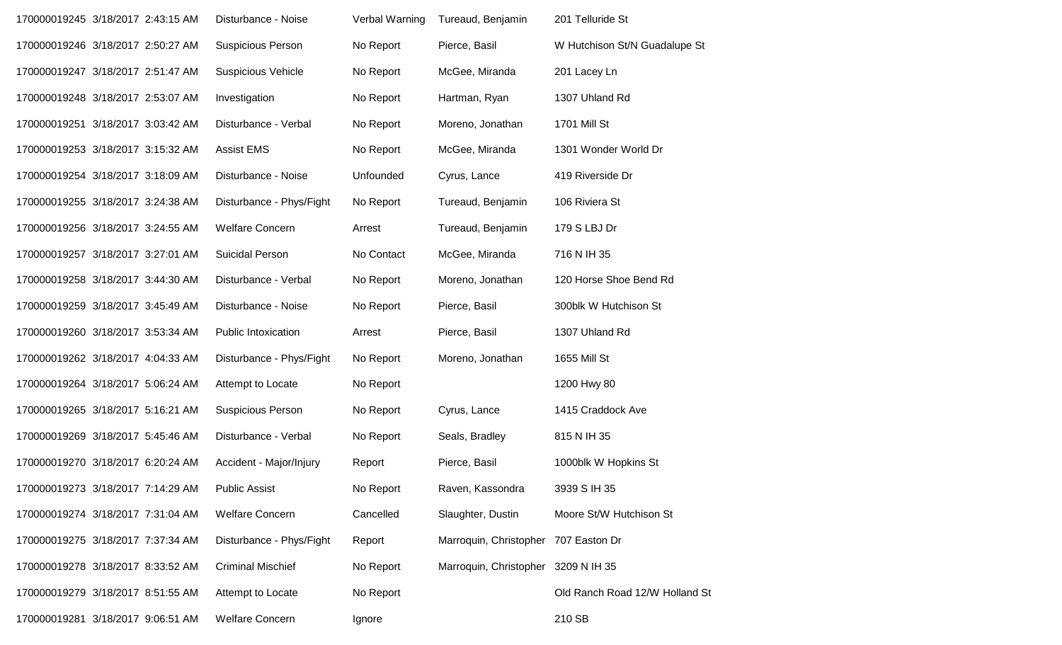| 170000019245 3/18/2017 2:43:15 AM | Disturbance - Noise        | Verbal Warning | Tureaud, Benjamin                    | 201 Telluride St               |
|-----------------------------------|----------------------------|----------------|--------------------------------------|--------------------------------|
| 170000019246 3/18/2017 2:50:27 AM | Suspicious Person          | No Report      | Pierce, Basil                        | W Hutchison St/N Guadalupe St  |
| 170000019247 3/18/2017 2:51:47 AM | <b>Suspicious Vehicle</b>  | No Report      | McGee, Miranda                       | 201 Lacey Ln                   |
| 170000019248 3/18/2017 2:53:07 AM | Investigation              | No Report      | Hartman, Ryan                        | 1307 Uhland Rd                 |
| 170000019251 3/18/2017 3:03:42 AM | Disturbance - Verbal       | No Report      | Moreno, Jonathan                     | 1701 Mill St                   |
| 170000019253 3/18/2017 3:15:32 AM | <b>Assist EMS</b>          | No Report      | McGee, Miranda                       | 1301 Wonder World Dr           |
| 170000019254 3/18/2017 3:18:09 AM | Disturbance - Noise        | Unfounded      | Cyrus, Lance                         | 419 Riverside Dr               |
| 170000019255 3/18/2017 3:24:38 AM | Disturbance - Phys/Fight   | No Report      | Tureaud, Benjamin                    | 106 Riviera St                 |
| 170000019256 3/18/2017 3:24:55 AM | <b>Welfare Concern</b>     | Arrest         | Tureaud, Benjamin                    | 179 S LBJ Dr                   |
| 170000019257 3/18/2017 3:27:01 AM | Suicidal Person            | No Contact     | McGee, Miranda                       | 716 N IH 35                    |
| 170000019258 3/18/2017 3:44:30 AM | Disturbance - Verbal       | No Report      | Moreno, Jonathan                     | 120 Horse Shoe Bend Rd         |
| 170000019259 3/18/2017 3:45:49 AM | Disturbance - Noise        | No Report      | Pierce, Basil                        | 300blk W Hutchison St          |
| 170000019260 3/18/2017 3:53:34 AM | <b>Public Intoxication</b> | Arrest         | Pierce, Basil                        | 1307 Uhland Rd                 |
| 170000019262 3/18/2017 4:04:33 AM | Disturbance - Phys/Fight   | No Report      | Moreno, Jonathan                     | 1655 Mill St                   |
| 170000019264 3/18/2017 5:06:24 AM | Attempt to Locate          | No Report      |                                      | 1200 Hwy 80                    |
| 170000019265 3/18/2017 5:16:21 AM | Suspicious Person          | No Report      | Cyrus, Lance                         | 1415 Craddock Ave              |
| 170000019269 3/18/2017 5:45:46 AM | Disturbance - Verbal       | No Report      | Seals, Bradley                       | 815 N IH 35                    |
| 170000019270 3/18/2017 6:20:24 AM | Accident - Major/Injury    | Report         | Pierce, Basil                        | 1000blk W Hopkins St           |
| 170000019273 3/18/2017 7:14:29 AM | <b>Public Assist</b>       | No Report      | Raven, Kassondra                     | 3939 S IH 35                   |
| 170000019274 3/18/2017 7:31:04 AM | <b>Welfare Concern</b>     | Cancelled      | Slaughter, Dustin                    | Moore St/W Hutchison St        |
| 170000019275 3/18/2017 7:37:34 AM | Disturbance - Phys/Fight   | Report         | Marroquin, Christopher 707 Easton Dr |                                |
| 170000019278 3/18/2017 8:33:52 AM | <b>Criminal Mischief</b>   | No Report      | Marroquin, Christopher 3209 N IH 35  |                                |
| 170000019279 3/18/2017 8:51:55 AM | Attempt to Locate          | No Report      |                                      | Old Ranch Road 12/W Holland St |
| 170000019281 3/18/2017 9:06:51 AM | <b>Welfare Concern</b>     | Ignore         |                                      | 210 SB                         |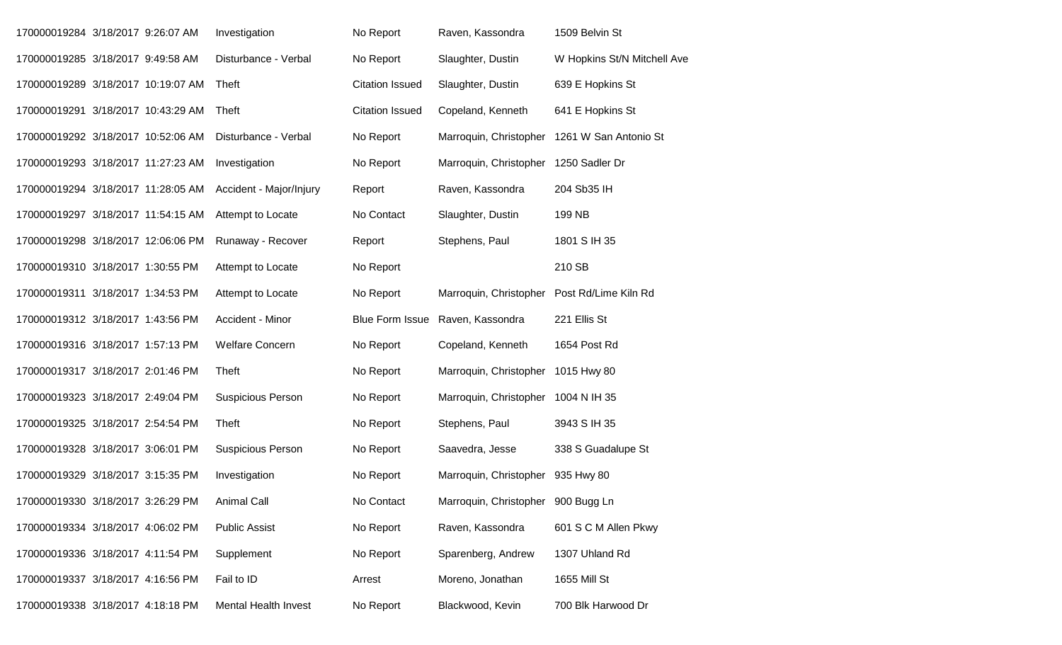| 170000019284 3/18/2017 9:26:07 AM  |  | Investigation               | No Report              | Raven, Kassondra                   | 1509 Belvin St              |
|------------------------------------|--|-----------------------------|------------------------|------------------------------------|-----------------------------|
| 170000019285 3/18/2017 9:49:58 AM  |  | Disturbance - Verbal        | No Report              | Slaughter, Dustin                  | W Hopkins St/N Mitchell Ave |
| 170000019289 3/18/2017 10:19:07 AM |  | Theft                       | <b>Citation Issued</b> | Slaughter, Dustin                  | 639 E Hopkins St            |
| 170000019291 3/18/2017 10:43:29 AM |  | Theft                       | <b>Citation Issued</b> | Copeland, Kenneth                  | 641 E Hopkins St            |
| 170000019292 3/18/2017 10:52:06 AM |  | Disturbance - Verbal        | No Report              | Marroquin, Christopher             | 1261 W San Antonio St       |
| 170000019293 3/18/2017 11:27:23 AM |  | Investigation               | No Report              | Marroquin, Christopher             | 1250 Sadler Dr              |
| 170000019294 3/18/2017 11:28:05 AM |  | Accident - Major/Injury     | Report                 | Raven, Kassondra                   | 204 Sb35 IH                 |
| 170000019297 3/18/2017 11:54:15 AM |  | Attempt to Locate           | No Contact             | Slaughter, Dustin                  | 199 NB                      |
| 170000019298 3/18/2017 12:06:06 PM |  | Runaway - Recover           | Report                 | Stephens, Paul                     | 1801 S IH 35                |
| 170000019310 3/18/2017 1:30:55 PM  |  | Attempt to Locate           | No Report              |                                    | 210 SB                      |
| 170000019311 3/18/2017 1:34:53 PM  |  | Attempt to Locate           | No Report              | Marroquin, Christopher             | Post Rd/Lime Kiln Rd        |
| 170000019312 3/18/2017 1:43:56 PM  |  | Accident - Minor            | <b>Blue Form Issue</b> | Raven, Kassondra                   | 221 Ellis St                |
| 170000019316 3/18/2017 1:57:13 PM  |  | <b>Welfare Concern</b>      | No Report              | Copeland, Kenneth                  | 1654 Post Rd                |
| 170000019317 3/18/2017 2:01:46 PM  |  | Theft                       | No Report              | Marroquin, Christopher             | 1015 Hwy 80                 |
| 170000019323 3/18/2017 2:49:04 PM  |  | <b>Suspicious Person</b>    | No Report              | Marroquin, Christopher             | 1004 N IH 35                |
| 170000019325 3/18/2017 2:54:54 PM  |  | Theft                       | No Report              | Stephens, Paul                     | 3943 S IH 35                |
| 170000019328 3/18/2017 3:06:01 PM  |  | <b>Suspicious Person</b>    | No Report              | Saavedra, Jesse                    | 338 S Guadalupe St          |
| 170000019329 3/18/2017 3:15:35 PM  |  | Investigation               | No Report              | Marroquin, Christopher             | 935 Hwy 80                  |
| 170000019330 3/18/2017 3:26:29 PM  |  | Animal Call                 | No Contact             | Marroquin, Christopher 900 Bugg Ln |                             |
| 170000019334 3/18/2017 4:06:02 PM  |  | <b>Public Assist</b>        | No Report              | Raven, Kassondra                   | 601 S C M Allen Pkwy        |
| 170000019336 3/18/2017 4:11:54 PM  |  | Supplement                  | No Report              | Sparenberg, Andrew                 | 1307 Uhland Rd              |
| 170000019337 3/18/2017 4:16:56 PM  |  | Fail to ID                  | Arrest                 | Moreno, Jonathan                   | 1655 Mill St                |
| 170000019338 3/18/2017 4:18:18 PM  |  | <b>Mental Health Invest</b> | No Report              | Blackwood, Kevin                   | 700 Blk Harwood Dr          |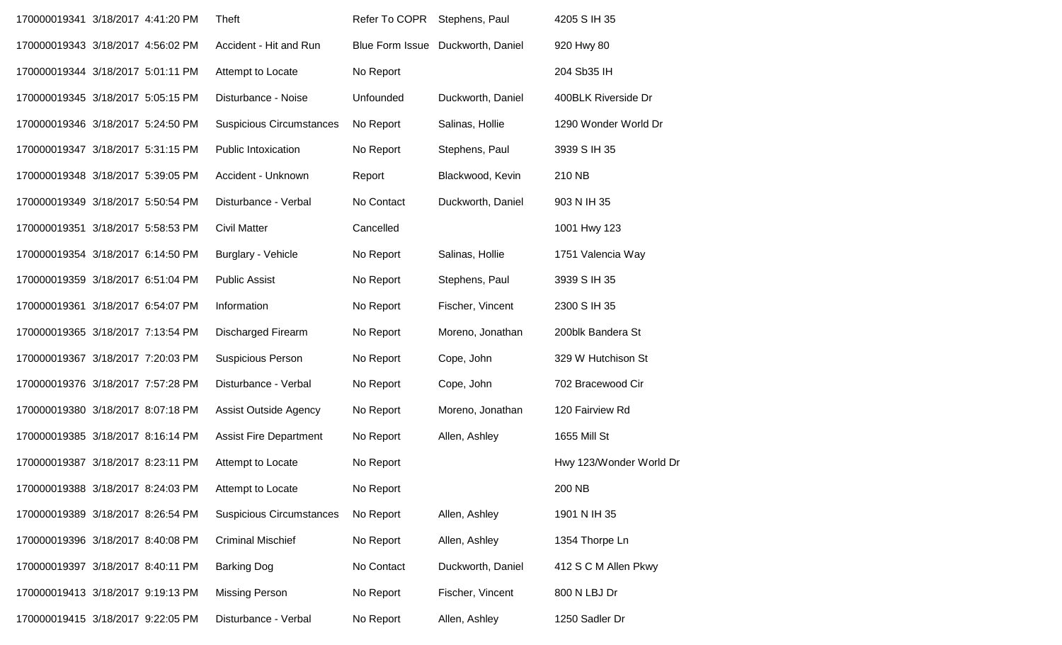| 170000019341 3/18/2017 4:41:20 PM | Theft                           | Refer To COPR | Stephens, Paul                    | 4205 S IH 35            |
|-----------------------------------|---------------------------------|---------------|-----------------------------------|-------------------------|
| 170000019343 3/18/2017 4:56:02 PM | Accident - Hit and Run          |               | Blue Form Issue Duckworth, Daniel | 920 Hwy 80              |
| 170000019344 3/18/2017 5:01:11 PM | Attempt to Locate               | No Report     |                                   | 204 Sb35 IH             |
| 170000019345 3/18/2017 5:05:15 PM | Disturbance - Noise             | Unfounded     | Duckworth, Daniel                 | 400BLK Riverside Dr     |
| 170000019346 3/18/2017 5:24:50 PM | <b>Suspicious Circumstances</b> | No Report     | Salinas, Hollie                   | 1290 Wonder World Dr    |
| 170000019347 3/18/2017 5:31:15 PM | <b>Public Intoxication</b>      | No Report     | Stephens, Paul                    | 3939 S IH 35            |
| 170000019348 3/18/2017 5:39:05 PM | Accident - Unknown              | Report        | Blackwood, Kevin                  | 210 NB                  |
| 170000019349 3/18/2017 5:50:54 PM | Disturbance - Verbal            | No Contact    | Duckworth, Daniel                 | 903 N IH 35             |
| 170000019351 3/18/2017 5:58:53 PM | <b>Civil Matter</b>             | Cancelled     |                                   | 1001 Hwy 123            |
| 170000019354 3/18/2017 6:14:50 PM | Burglary - Vehicle              | No Report     | Salinas, Hollie                   | 1751 Valencia Way       |
| 170000019359 3/18/2017 6:51:04 PM | <b>Public Assist</b>            | No Report     | Stephens, Paul                    | 3939 S IH 35            |
| 170000019361 3/18/2017 6:54:07 PM | Information                     | No Report     | Fischer, Vincent                  | 2300 S IH 35            |
| 170000019365 3/18/2017 7:13:54 PM | <b>Discharged Firearm</b>       | No Report     | Moreno, Jonathan                  | 200blk Bandera St       |
| 170000019367 3/18/2017 7:20:03 PM | <b>Suspicious Person</b>        | No Report     | Cope, John                        | 329 W Hutchison St      |
| 170000019376 3/18/2017 7:57:28 PM | Disturbance - Verbal            | No Report     | Cope, John                        | 702 Bracewood Cir       |
| 170000019380 3/18/2017 8:07:18 PM | Assist Outside Agency           | No Report     | Moreno, Jonathan                  | 120 Fairview Rd         |
| 170000019385 3/18/2017 8:16:14 PM | <b>Assist Fire Department</b>   | No Report     | Allen, Ashley                     | 1655 Mill St            |
| 170000019387 3/18/2017 8:23:11 PM | Attempt to Locate               | No Report     |                                   | Hwy 123/Wonder World Dr |
| 170000019388 3/18/2017 8:24:03 PM | Attempt to Locate               | No Report     |                                   | 200 NB                  |
| 170000019389 3/18/2017 8:26:54 PM | <b>Suspicious Circumstances</b> | No Report     | Allen, Ashley                     | 1901 N IH 35            |
| 170000019396 3/18/2017 8:40:08 PM | <b>Criminal Mischief</b>        | No Report     | Allen, Ashley                     | 1354 Thorpe Ln          |
| 170000019397 3/18/2017 8:40:11 PM | <b>Barking Dog</b>              | No Contact    | Duckworth, Daniel                 | 412 S C M Allen Pkwy    |
| 170000019413 3/18/2017 9:19:13 PM | <b>Missing Person</b>           | No Report     | Fischer, Vincent                  | 800 N LBJ Dr            |
| 170000019415 3/18/2017 9:22:05 PM | Disturbance - Verbal            | No Report     | Allen, Ashley                     | 1250 Sadler Dr          |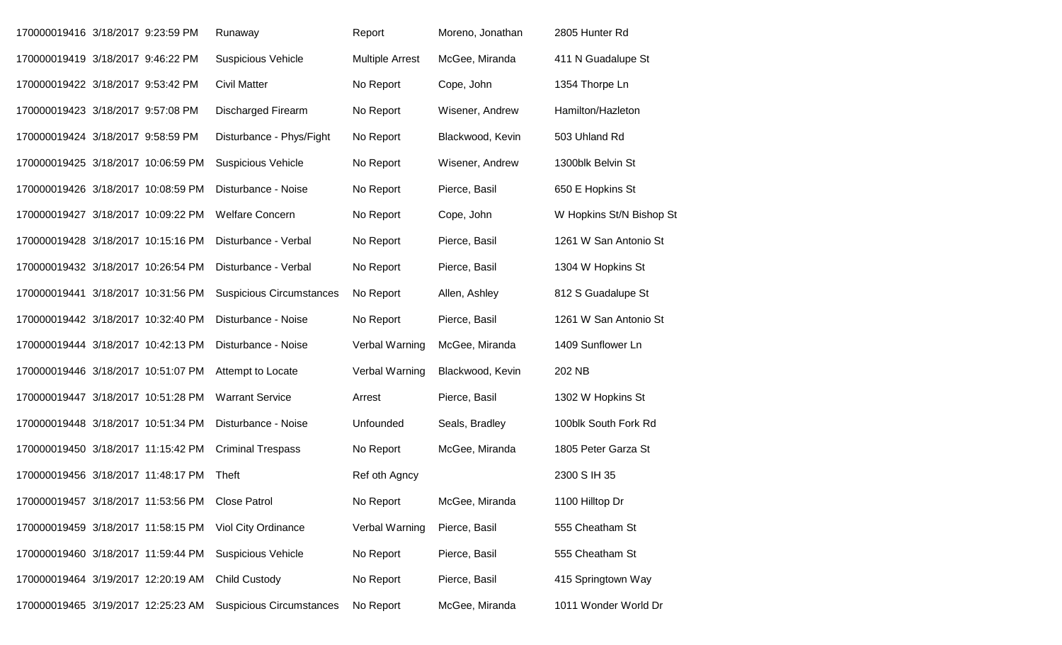| 170000019416 3/18/2017 9:23:59 PM  |  | Runaway                         | Report                 | Moreno, Jonathan | 2805 Hunter Rd           |
|------------------------------------|--|---------------------------------|------------------------|------------------|--------------------------|
| 170000019419 3/18/2017 9:46:22 PM  |  | <b>Suspicious Vehicle</b>       | <b>Multiple Arrest</b> | McGee, Miranda   | 411 N Guadalupe St       |
| 170000019422 3/18/2017 9:53:42 PM  |  | <b>Civil Matter</b>             | No Report              | Cope, John       | 1354 Thorpe Ln           |
| 170000019423 3/18/2017 9:57:08 PM  |  | <b>Discharged Firearm</b>       | No Report              | Wisener, Andrew  | Hamilton/Hazleton        |
| 170000019424 3/18/2017 9:58:59 PM  |  | Disturbance - Phys/Fight        | No Report              | Blackwood, Kevin | 503 Uhland Rd            |
| 170000019425 3/18/2017 10:06:59 PM |  | <b>Suspicious Vehicle</b>       | No Report              | Wisener, Andrew  | 1300blk Belvin St        |
| 170000019426 3/18/2017 10:08:59 PM |  | Disturbance - Noise             | No Report              | Pierce, Basil    | 650 E Hopkins St         |
| 170000019427 3/18/2017 10:09:22 PM |  | <b>Welfare Concern</b>          | No Report              | Cope, John       | W Hopkins St/N Bishop St |
| 170000019428 3/18/2017 10:15:16 PM |  | Disturbance - Verbal            | No Report              | Pierce, Basil    | 1261 W San Antonio St    |
| 170000019432 3/18/2017 10:26:54 PM |  | Disturbance - Verbal            | No Report              | Pierce, Basil    | 1304 W Hopkins St        |
| 170000019441 3/18/2017 10:31:56 PM |  | <b>Suspicious Circumstances</b> | No Report              | Allen, Ashley    | 812 S Guadalupe St       |
| 170000019442 3/18/2017 10:32:40 PM |  | Disturbance - Noise             | No Report              | Pierce, Basil    | 1261 W San Antonio St    |
| 170000019444 3/18/2017 10:42:13 PM |  | Disturbance - Noise             | Verbal Warning         | McGee, Miranda   | 1409 Sunflower Ln        |
| 170000019446 3/18/2017 10:51:07 PM |  | Attempt to Locate               | Verbal Warning         | Blackwood, Kevin | 202 NB                   |
| 170000019447 3/18/2017 10:51:28 PM |  | <b>Warrant Service</b>          | Arrest                 | Pierce, Basil    | 1302 W Hopkins St        |
| 170000019448 3/18/2017 10:51:34 PM |  | Disturbance - Noise             | Unfounded              | Seals, Bradley   | 100blk South Fork Rd     |
| 170000019450 3/18/2017 11:15:42 PM |  | <b>Criminal Trespass</b>        | No Report              | McGee, Miranda   | 1805 Peter Garza St      |
| 170000019456 3/18/2017 11:48:17 PM |  | Theft                           | Ref oth Agncy          |                  | 2300 S IH 35             |
| 170000019457 3/18/2017 11:53:56 PM |  | <b>Close Patrol</b>             | No Report              | McGee, Miranda   | 1100 Hilltop Dr          |
| 170000019459 3/18/2017 11:58:15 PM |  | Viol City Ordinance             | Verbal Warning         | Pierce, Basil    | 555 Cheatham St          |
| 170000019460 3/18/2017 11:59:44 PM |  | <b>Suspicious Vehicle</b>       | No Report              | Pierce, Basil    | 555 Cheatham St          |
| 170000019464 3/19/2017 12:20:19 AM |  | <b>Child Custody</b>            | No Report              | Pierce, Basil    | 415 Springtown Way       |
| 170000019465 3/19/2017 12:25:23 AM |  | <b>Suspicious Circumstances</b> | No Report              | McGee, Miranda   | 1011 Wonder World Dr     |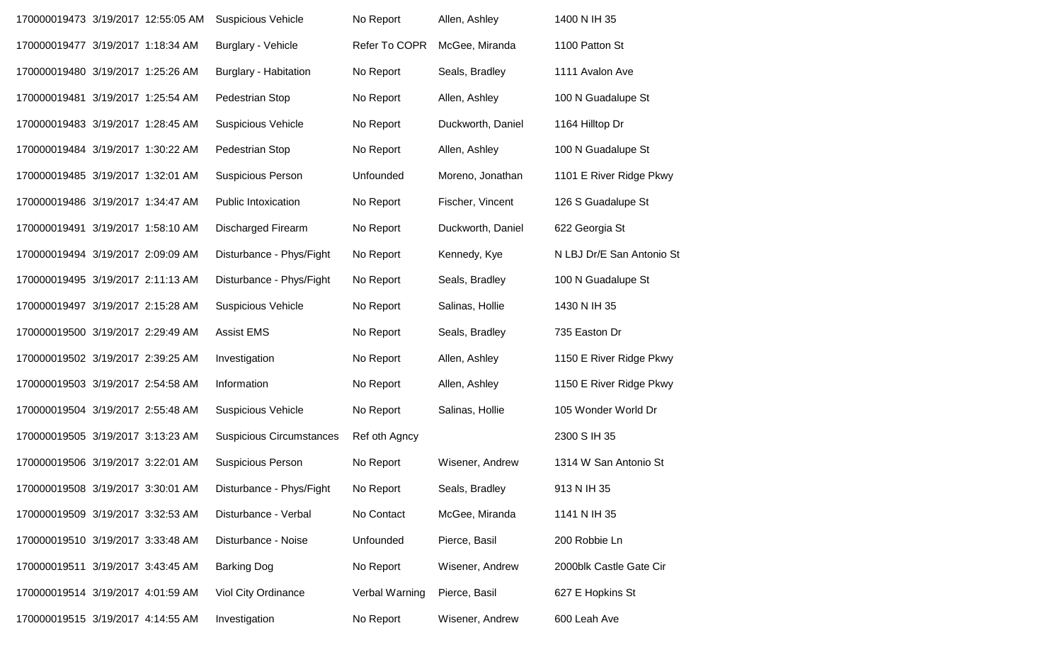| 170000019473 3/19/2017 12:55:05 AM |  | <b>Suspicious Vehicle</b>       | No Report      | Allen, Ashley     | 1400 N IH 35              |
|------------------------------------|--|---------------------------------|----------------|-------------------|---------------------------|
| 170000019477 3/19/2017 1:18:34 AM  |  | <b>Burglary - Vehicle</b>       | Refer To COPR  | McGee, Miranda    | 1100 Patton St            |
| 170000019480 3/19/2017 1:25:26 AM  |  | <b>Burglary - Habitation</b>    | No Report      | Seals, Bradley    | 1111 Avalon Ave           |
| 170000019481 3/19/2017 1:25:54 AM  |  | Pedestrian Stop                 | No Report      | Allen, Ashley     | 100 N Guadalupe St        |
| 170000019483 3/19/2017 1:28:45 AM  |  | <b>Suspicious Vehicle</b>       | No Report      | Duckworth, Daniel | 1164 Hilltop Dr           |
| 170000019484 3/19/2017 1:30:22 AM  |  | Pedestrian Stop                 | No Report      | Allen, Ashley     | 100 N Guadalupe St        |
| 170000019485 3/19/2017 1:32:01 AM  |  | Suspicious Person               | Unfounded      | Moreno, Jonathan  | 1101 E River Ridge Pkwy   |
| 170000019486 3/19/2017 1:34:47 AM  |  | <b>Public Intoxication</b>      | No Report      | Fischer, Vincent  | 126 S Guadalupe St        |
| 170000019491 3/19/2017 1:58:10 AM  |  | <b>Discharged Firearm</b>       | No Report      | Duckworth, Daniel | 622 Georgia St            |
| 170000019494 3/19/2017 2:09:09 AM  |  | Disturbance - Phys/Fight        | No Report      | Kennedy, Kye      | N LBJ Dr/E San Antonio St |
| 170000019495 3/19/2017 2:11:13 AM  |  | Disturbance - Phys/Fight        | No Report      | Seals, Bradley    | 100 N Guadalupe St        |
| 170000019497 3/19/2017 2:15:28 AM  |  | <b>Suspicious Vehicle</b>       | No Report      | Salinas, Hollie   | 1430 N IH 35              |
| 170000019500 3/19/2017 2:29:49 AM  |  | <b>Assist EMS</b>               | No Report      | Seals, Bradley    | 735 Easton Dr             |
| 170000019502 3/19/2017 2:39:25 AM  |  | Investigation                   | No Report      | Allen, Ashley     | 1150 E River Ridge Pkwy   |
| 170000019503 3/19/2017 2:54:58 AM  |  | Information                     | No Report      | Allen, Ashley     | 1150 E River Ridge Pkwy   |
| 170000019504 3/19/2017 2:55:48 AM  |  | <b>Suspicious Vehicle</b>       | No Report      | Salinas, Hollie   | 105 Wonder World Dr       |
| 170000019505 3/19/2017 3:13:23 AM  |  | <b>Suspicious Circumstances</b> | Ref oth Agncy  |                   | 2300 S IH 35              |
| 170000019506 3/19/2017 3:22:01 AM  |  | Suspicious Person               | No Report      | Wisener, Andrew   | 1314 W San Antonio St     |
| 170000019508 3/19/2017 3:30:01 AM  |  | Disturbance - Phys/Fight        | No Report      | Seals, Bradley    | 913 N IH 35               |
| 170000019509 3/19/2017 3:32:53 AM  |  | Disturbance - Verbal            | No Contact     | McGee, Miranda    | 1141 N IH 35              |
| 170000019510 3/19/2017 3:33:48 AM  |  | Disturbance - Noise             | Unfounded      | Pierce, Basil     | 200 Robbie Ln             |
| 170000019511 3/19/2017 3:43:45 AM  |  | <b>Barking Dog</b>              | No Report      | Wisener, Andrew   | 2000blk Castle Gate Cir   |
| 170000019514 3/19/2017 4:01:59 AM  |  | Viol City Ordinance             | Verbal Warning | Pierce, Basil     | 627 E Hopkins St          |
| 170000019515 3/19/2017 4:14:55 AM  |  | Investigation                   | No Report      | Wisener, Andrew   | 600 Leah Ave              |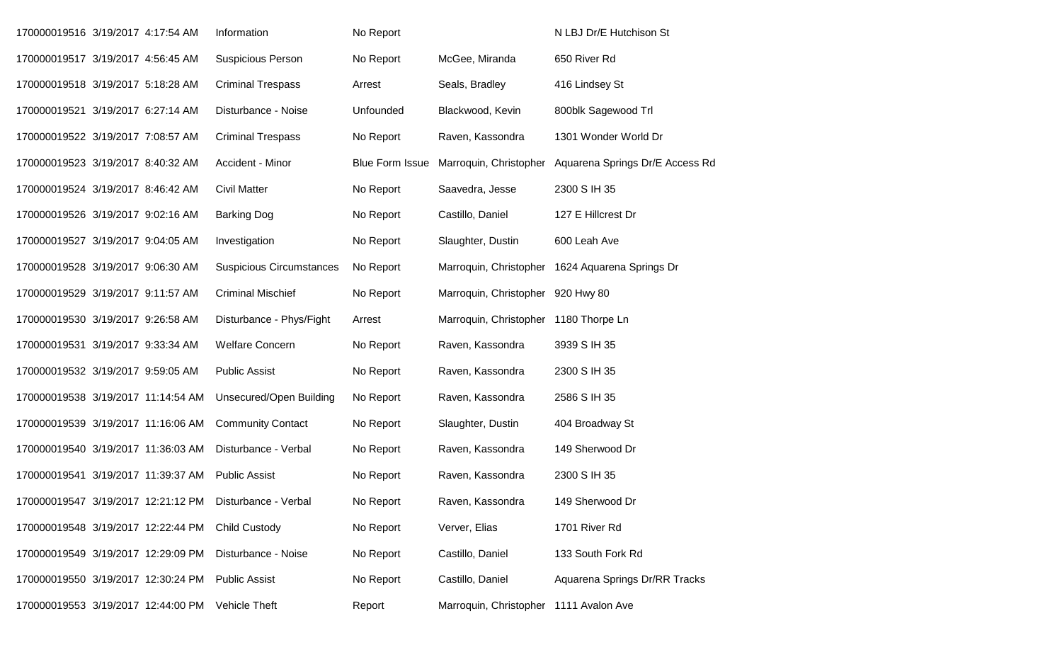| 170000019516 3/19/2017 4:17:54 AM  |  | Information                     | No Report              |                                        | N LBJ Dr/E Hutchison St         |
|------------------------------------|--|---------------------------------|------------------------|----------------------------------------|---------------------------------|
| 170000019517 3/19/2017 4:56:45 AM  |  | <b>Suspicious Person</b>        | No Report              | McGee, Miranda                         | 650 River Rd                    |
| 170000019518 3/19/2017 5:18:28 AM  |  | <b>Criminal Trespass</b>        | Arrest                 | Seals, Bradley                         | 416 Lindsey St                  |
| 170000019521 3/19/2017 6:27:14 AM  |  | Disturbance - Noise             | Unfounded              | Blackwood, Kevin                       | 800blk Sagewood Trl             |
| 170000019522 3/19/2017 7:08:57 AM  |  | <b>Criminal Trespass</b>        | No Report              | Raven, Kassondra                       | 1301 Wonder World Dr            |
| 170000019523 3/19/2017 8:40:32 AM  |  | Accident - Minor                | <b>Blue Form Issue</b> | Marroquin, Christopher                 | Aquarena Springs Dr/E Access Rd |
| 170000019524 3/19/2017 8:46:42 AM  |  | <b>Civil Matter</b>             | No Report              | Saavedra, Jesse                        | 2300 S IH 35                    |
| 170000019526 3/19/2017 9:02:16 AM  |  | <b>Barking Dog</b>              | No Report              | Castillo, Daniel                       | 127 E Hillcrest Dr              |
| 170000019527 3/19/2017 9:04:05 AM  |  | Investigation                   | No Report              | Slaughter, Dustin                      | 600 Leah Ave                    |
| 170000019528 3/19/2017 9:06:30 AM  |  | <b>Suspicious Circumstances</b> | No Report              | Marroquin, Christopher                 | 1624 Aquarena Springs Dr        |
| 170000019529 3/19/2017 9:11:57 AM  |  | <b>Criminal Mischief</b>        | No Report              | Marroquin, Christopher 920 Hwy 80      |                                 |
| 170000019530 3/19/2017 9:26:58 AM  |  | Disturbance - Phys/Fight        | Arrest                 | Marroquin, Christopher 1180 Thorpe Ln  |                                 |
| 170000019531 3/19/2017 9:33:34 AM  |  | <b>Welfare Concern</b>          | No Report              | Raven, Kassondra                       | 3939 S IH 35                    |
| 170000019532 3/19/2017 9:59:05 AM  |  | <b>Public Assist</b>            | No Report              | Raven, Kassondra                       | 2300 S IH 35                    |
| 170000019538 3/19/2017 11:14:54 AM |  | Unsecured/Open Building         | No Report              | Raven, Kassondra                       | 2586 S IH 35                    |
| 170000019539 3/19/2017 11:16:06 AM |  | <b>Community Contact</b>        | No Report              | Slaughter, Dustin                      | 404 Broadway St                 |
| 170000019540 3/19/2017 11:36:03 AM |  | Disturbance - Verbal            | No Report              | Raven, Kassondra                       | 149 Sherwood Dr                 |
| 170000019541 3/19/2017 11:39:37 AM |  | <b>Public Assist</b>            | No Report              | Raven, Kassondra                       | 2300 S IH 35                    |
| 170000019547 3/19/2017 12:21:12 PM |  | Disturbance - Verbal            | No Report              | Raven, Kassondra                       | 149 Sherwood Dr                 |
| 170000019548 3/19/2017 12:22:44 PM |  | <b>Child Custody</b>            | No Report              | Verver, Elias                          | 1701 River Rd                   |
| 170000019549 3/19/2017 12:29:09 PM |  | Disturbance - Noise             | No Report              | Castillo, Daniel                       | 133 South Fork Rd               |
| 170000019550 3/19/2017 12:30:24 PM |  | <b>Public Assist</b>            | No Report              | Castillo, Daniel                       | Aquarena Springs Dr/RR Tracks   |
| 170000019553 3/19/2017 12:44:00 PM |  | Vehicle Theft                   | Report                 | Marroquin, Christopher 1111 Avalon Ave |                                 |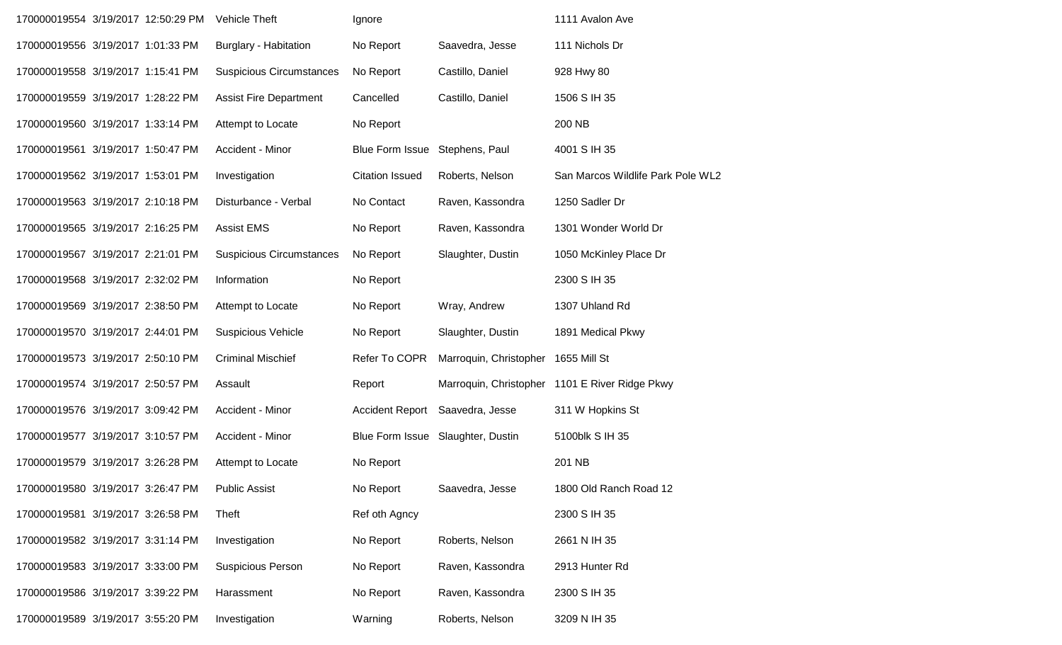| 170000019554 3/19/2017 12:50:29 PM |  | Vehicle Theft                   | Ignore                 |                                     | 1111 Avalon Ave                                |
|------------------------------------|--|---------------------------------|------------------------|-------------------------------------|------------------------------------------------|
| 170000019556 3/19/2017 1:01:33 PM  |  | <b>Burglary - Habitation</b>    | No Report              | Saavedra, Jesse                     | 111 Nichols Dr                                 |
| 170000019558 3/19/2017 1:15:41 PM  |  | <b>Suspicious Circumstances</b> | No Report              | Castillo, Daniel                    | 928 Hwy 80                                     |
| 170000019559 3/19/2017 1:28:22 PM  |  | <b>Assist Fire Department</b>   | Cancelled              | Castillo, Daniel                    | 1506 S IH 35                                   |
| 170000019560 3/19/2017 1:33:14 PM  |  | Attempt to Locate               | No Report              |                                     | 200 NB                                         |
| 170000019561 3/19/2017 1:50:47 PM  |  | Accident - Minor                | Blue Form Issue        | Stephens, Paul                      | 4001 S IH 35                                   |
| 170000019562 3/19/2017 1:53:01 PM  |  | Investigation                   | <b>Citation Issued</b> | Roberts, Nelson                     | San Marcos Wildlife Park Pole WL2              |
| 170000019563 3/19/2017 2:10:18 PM  |  | Disturbance - Verbal            | No Contact             | Raven, Kassondra                    | 1250 Sadler Dr                                 |
| 170000019565 3/19/2017 2:16:25 PM  |  | <b>Assist EMS</b>               | No Report              | Raven, Kassondra                    | 1301 Wonder World Dr                           |
| 170000019567 3/19/2017 2:21:01 PM  |  | <b>Suspicious Circumstances</b> | No Report              | Slaughter, Dustin                   | 1050 McKinley Place Dr                         |
| 170000019568 3/19/2017 2:32:02 PM  |  | Information                     | No Report              |                                     | 2300 S IH 35                                   |
| 170000019569 3/19/2017 2:38:50 PM  |  | Attempt to Locate               | No Report              | Wray, Andrew                        | 1307 Uhland Rd                                 |
| 170000019570 3/19/2017 2:44:01 PM  |  | <b>Suspicious Vehicle</b>       | No Report              | Slaughter, Dustin                   | 1891 Medical Pkwy                              |
| 170000019573 3/19/2017 2:50:10 PM  |  | <b>Criminal Mischief</b>        | Refer To COPR          | Marroquin, Christopher 1655 Mill St |                                                |
| 170000019574 3/19/2017 2:50:57 PM  |  | Assault                         | Report                 |                                     | Marroquin, Christopher 1101 E River Ridge Pkwy |
| 170000019576 3/19/2017 3:09:42 PM  |  | Accident - Minor                | <b>Accident Report</b> | Saavedra, Jesse                     | 311 W Hopkins St                               |
| 170000019577 3/19/2017 3:10:57 PM  |  | Accident - Minor                |                        | Blue Form Issue Slaughter, Dustin   | 5100blk S IH 35                                |
| 170000019579 3/19/2017 3:26:28 PM  |  | Attempt to Locate               | No Report              |                                     | 201 NB                                         |
| 170000019580 3/19/2017 3:26:47 PM  |  | <b>Public Assist</b>            | No Report              | Saavedra, Jesse                     | 1800 Old Ranch Road 12                         |
| 170000019581 3/19/2017 3:26:58 PM  |  | Theft                           | Ref oth Agncy          |                                     | 2300 S IH 35                                   |
| 170000019582 3/19/2017 3:31:14 PM  |  | Investigation                   | No Report              | Roberts, Nelson                     | 2661 N IH 35                                   |
| 170000019583 3/19/2017 3:33:00 PM  |  | Suspicious Person               | No Report              | Raven, Kassondra                    | 2913 Hunter Rd                                 |
| 170000019586 3/19/2017 3:39:22 PM  |  | Harassment                      | No Report              | Raven, Kassondra                    | 2300 S IH 35                                   |
| 170000019589 3/19/2017 3:55:20 PM  |  | Investigation                   | Warning                | Roberts, Nelson                     | 3209 N IH 35                                   |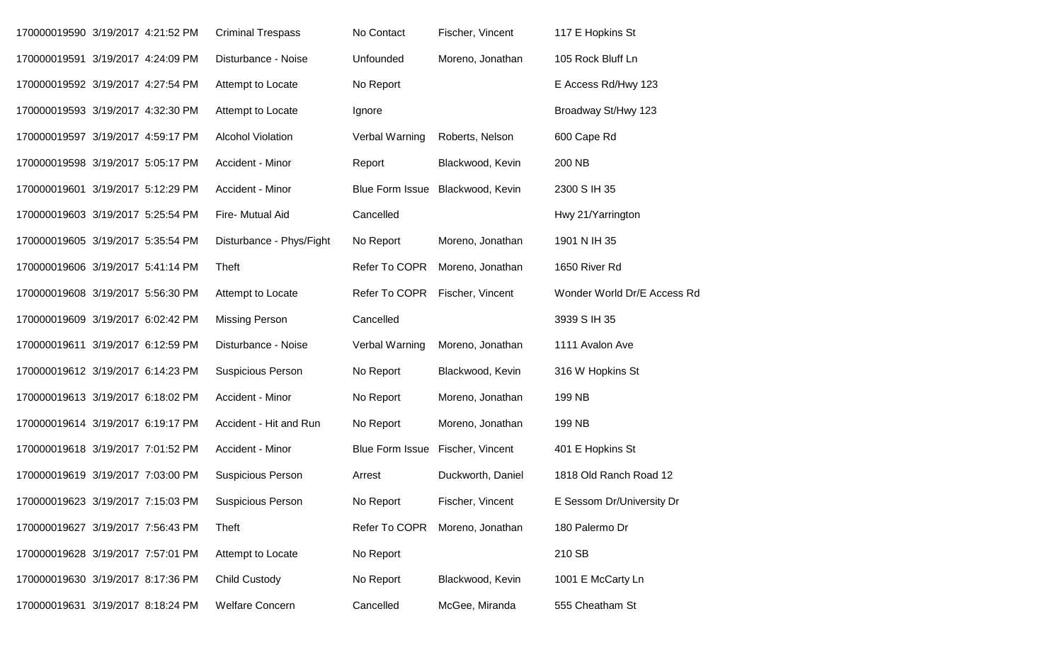| 170000019590 3/19/2017 4:21:52 PM |  | <b>Criminal Trespass</b> | No Contact             | Fischer, Vincent  | 117 E Hopkins St            |
|-----------------------------------|--|--------------------------|------------------------|-------------------|-----------------------------|
| 170000019591 3/19/2017 4:24:09 PM |  | Disturbance - Noise      | Unfounded              | Moreno, Jonathan  | 105 Rock Bluff Ln           |
| 170000019592 3/19/2017 4:27:54 PM |  | Attempt to Locate        | No Report              |                   | E Access Rd/Hwy 123         |
| 170000019593 3/19/2017 4:32:30 PM |  | Attempt to Locate        | Ignore                 |                   | Broadway St/Hwy 123         |
| 170000019597 3/19/2017 4:59:17 PM |  | <b>Alcohol Violation</b> | Verbal Warning         | Roberts, Nelson   | 600 Cape Rd                 |
| 170000019598 3/19/2017 5:05:17 PM |  | Accident - Minor         | Report                 | Blackwood, Kevin  | 200 NB                      |
| 170000019601 3/19/2017 5:12:29 PM |  | Accident - Minor         | <b>Blue Form Issue</b> | Blackwood, Kevin  | 2300 S IH 35                |
| 170000019603 3/19/2017 5:25:54 PM |  | Fire- Mutual Aid         | Cancelled              |                   | Hwy 21/Yarrington           |
| 170000019605 3/19/2017 5:35:54 PM |  | Disturbance - Phys/Fight | No Report              | Moreno, Jonathan  | 1901 N IH 35                |
| 170000019606 3/19/2017 5:41:14 PM |  | Theft                    | Refer To COPR          | Moreno, Jonathan  | 1650 River Rd               |
| 170000019608 3/19/2017 5:56:30 PM |  | Attempt to Locate        | Refer To COPR          | Fischer, Vincent  | Wonder World Dr/E Access Rd |
| 170000019609 3/19/2017 6:02:42 PM |  | <b>Missing Person</b>    | Cancelled              |                   | 3939 S IH 35                |
| 170000019611 3/19/2017 6:12:59 PM |  | Disturbance - Noise      | Verbal Warning         | Moreno, Jonathan  | 1111 Avalon Ave             |
| 170000019612 3/19/2017 6:14:23 PM |  | Suspicious Person        | No Report              | Blackwood, Kevin  | 316 W Hopkins St            |
| 170000019613 3/19/2017 6:18:02 PM |  | Accident - Minor         | No Report              | Moreno, Jonathan  | 199 NB                      |
| 170000019614 3/19/2017 6:19:17 PM |  | Accident - Hit and Run   | No Report              | Moreno, Jonathan  | 199 NB                      |
| 170000019618 3/19/2017 7:01:52 PM |  | Accident - Minor         | <b>Blue Form Issue</b> | Fischer, Vincent  | 401 E Hopkins St            |
| 170000019619 3/19/2017 7:03:00 PM |  | Suspicious Person        | Arrest                 | Duckworth, Daniel | 1818 Old Ranch Road 12      |
| 170000019623 3/19/2017 7:15:03 PM |  | <b>Suspicious Person</b> | No Report              | Fischer, Vincent  | E Sessom Dr/University Dr   |
| 170000019627 3/19/2017 7:56:43 PM |  | Theft                    | Refer To COPR          | Moreno, Jonathan  | 180 Palermo Dr              |
| 170000019628 3/19/2017 7:57:01 PM |  | Attempt to Locate        | No Report              |                   | 210 SB                      |
| 170000019630 3/19/2017 8:17:36 PM |  | <b>Child Custody</b>     | No Report              | Blackwood, Kevin  | 1001 E McCarty Ln           |
| 170000019631 3/19/2017 8:18:24 PM |  | <b>Welfare Concern</b>   | Cancelled              | McGee, Miranda    | 555 Cheatham St             |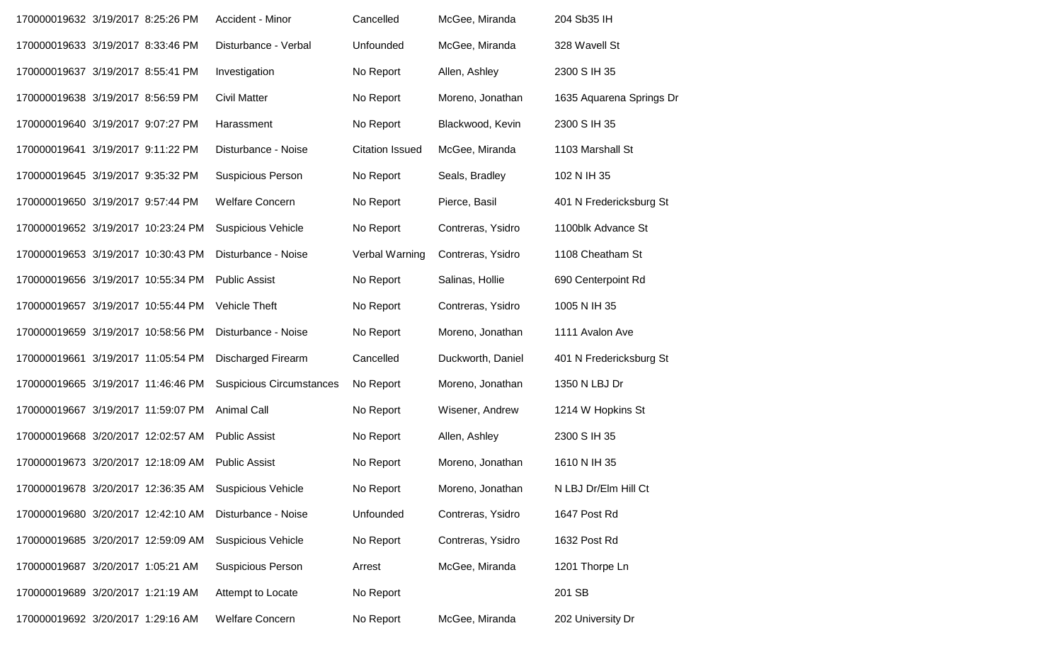| 170000019632 3/19/2017 8:25:26 PM  |  | Accident - Minor                | Cancelled              | McGee, Miranda    | 204 Sb35 IH              |
|------------------------------------|--|---------------------------------|------------------------|-------------------|--------------------------|
| 170000019633 3/19/2017 8:33:46 PM  |  | Disturbance - Verbal            | Unfounded              | McGee, Miranda    | 328 Wavell St            |
| 170000019637 3/19/2017 8:55:41 PM  |  | Investigation                   | No Report              | Allen, Ashley     | 2300 S IH 35             |
| 170000019638 3/19/2017 8:56:59 PM  |  | <b>Civil Matter</b>             | No Report              | Moreno, Jonathan  | 1635 Aquarena Springs Dr |
| 170000019640 3/19/2017 9:07:27 PM  |  | Harassment                      | No Report              | Blackwood, Kevin  | 2300 S IH 35             |
| 170000019641 3/19/2017 9:11:22 PM  |  | Disturbance - Noise             | <b>Citation Issued</b> | McGee, Miranda    | 1103 Marshall St         |
| 170000019645 3/19/2017 9:35:32 PM  |  | <b>Suspicious Person</b>        | No Report              | Seals, Bradley    | 102 N IH 35              |
| 170000019650 3/19/2017 9:57:44 PM  |  | <b>Welfare Concern</b>          | No Report              | Pierce, Basil     | 401 N Fredericksburg St  |
| 170000019652 3/19/2017 10:23:24 PM |  | <b>Suspicious Vehicle</b>       | No Report              | Contreras, Ysidro | 1100blk Advance St       |
| 170000019653 3/19/2017 10:30:43 PM |  | Disturbance - Noise             | Verbal Warning         | Contreras, Ysidro | 1108 Cheatham St         |
| 170000019656 3/19/2017 10:55:34 PM |  | <b>Public Assist</b>            | No Report              | Salinas, Hollie   | 690 Centerpoint Rd       |
| 170000019657 3/19/2017 10:55:44 PM |  | Vehicle Theft                   | No Report              | Contreras, Ysidro | 1005 N IH 35             |
| 170000019659 3/19/2017 10:58:56 PM |  | Disturbance - Noise             | No Report              | Moreno, Jonathan  | 1111 Avalon Ave          |
| 170000019661 3/19/2017 11:05:54 PM |  | <b>Discharged Firearm</b>       | Cancelled              | Duckworth, Daniel | 401 N Fredericksburg St  |
| 170000019665 3/19/2017 11:46:46 PM |  | <b>Suspicious Circumstances</b> | No Report              | Moreno, Jonathan  | 1350 N LBJ Dr            |
| 170000019667 3/19/2017 11:59:07 PM |  | <b>Animal Call</b>              | No Report              | Wisener, Andrew   | 1214 W Hopkins St        |
| 170000019668 3/20/2017 12:02:57 AM |  | <b>Public Assist</b>            | No Report              | Allen, Ashley     | 2300 S IH 35             |
| 170000019673 3/20/2017 12:18:09 AM |  | <b>Public Assist</b>            | No Report              | Moreno, Jonathan  | 1610 N IH 35             |
| 170000019678 3/20/2017 12:36:35 AM |  | <b>Suspicious Vehicle</b>       | No Report              | Moreno, Jonathan  | N LBJ Dr/Elm Hill Ct     |
| 170000019680 3/20/2017 12:42:10 AM |  | Disturbance - Noise             | Unfounded              | Contreras, Ysidro | 1647 Post Rd             |
| 170000019685 3/20/2017 12:59:09 AM |  | <b>Suspicious Vehicle</b>       | No Report              | Contreras, Ysidro | 1632 Post Rd             |
| 170000019687 3/20/2017 1:05:21 AM  |  | <b>Suspicious Person</b>        | Arrest                 | McGee, Miranda    | 1201 Thorpe Ln           |
| 170000019689 3/20/2017 1:21:19 AM  |  | Attempt to Locate               | No Report              |                   | 201 SB                   |
| 170000019692 3/20/2017 1:29:16 AM  |  | <b>Welfare Concern</b>          | No Report              | McGee, Miranda    | 202 University Dr        |